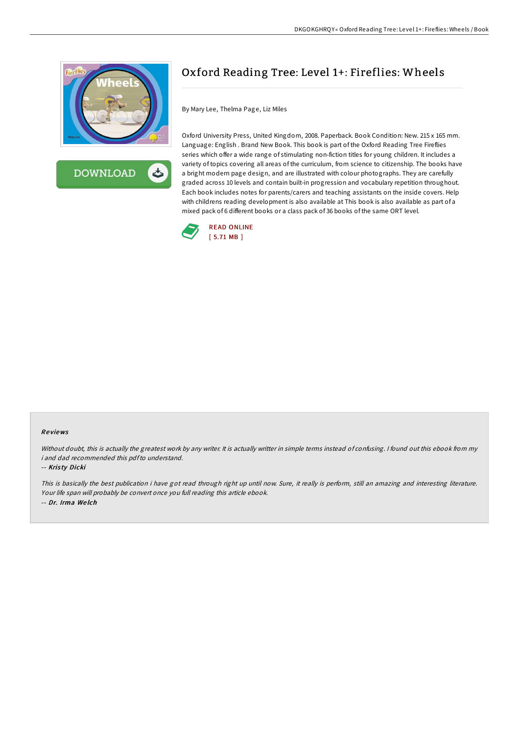



## Oxford Reading Tree: Level 1+: Fireflies: Wheels

By Mary Lee, Thelma Page, Liz Miles

Oxford University Press, United Kingdom, 2008. Paperback. Book Condition: New. 215 x 165 mm. Language: English . Brand New Book. This book is part of the Oxford Reading Tree Fireflies series which offer a wide range of stimulating non-fiction titles for young children. It includes a variety of topics covering all areas of the curriculum, from science to citizenship. The books have a bright modern page design, and are illustrated with colour photographs. They are carefully graded across 10 levels and contain built-in progression and vocabulary repetition throughout. Each book includes notes for parents/carers and teaching assistants on the inside covers. Help with childrens reading development is also available at This book is also available as part of a mixed pack of 6 different books or a class pack of 36 books of the same ORT level.



## Re views

Without doubt, this is actually the greatest work by any writer. It is actually writter in simple terms instead of confusing. <sup>I</sup> found out this ebook from my i and dad recommended this pdfto understand.

## -- Kris ty Dicki

This is basically the best publication i have got read through right up until now. Sure, it really is perform, still an amazing and interesting literature. Your life span will probably be convert once you full reading this article ebook. -- Dr. Irma We lch